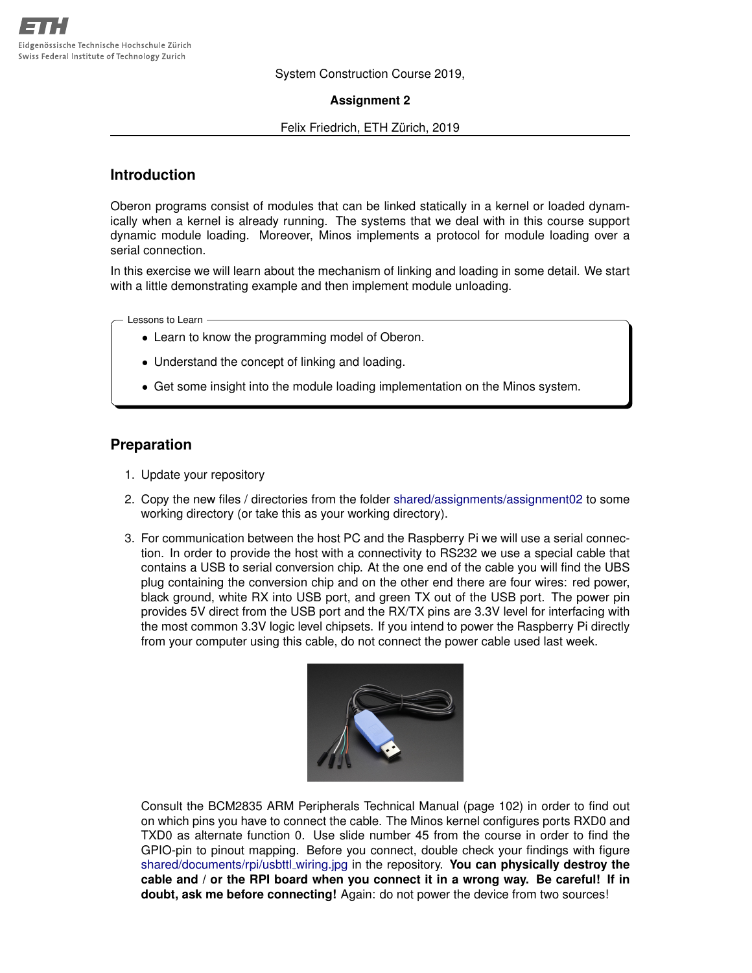System Construction Course 2019,

#### **Assignment 2**

#### Felix Friedrich, ETH Zürich, 2019

### **Introduction**

Oberon programs consist of modules that can be linked statically in a kernel or loaded dynamically when a kernel is already running. The systems that we deal with in this course support dynamic module loading. Moreover, Minos implements a protocol for module loading over a serial connection.

In this exercise we will learn about the mechanism of linking and loading in some detail. We start with a little demonstrating example and then implement module unloading.

Lessons to Learn

- Learn to know the programming model of Oberon.
- Understand the concept of linking and loading.
- Get some insight into the module loading implementation on the Minos system.

#### **Preparation**

- 1. Update your repository
- 2. Copy the new files / directories from the folder [shared/assignments/assignment02](https://svn.inf.ethz.ch/svn/lecturers/vorlesungen/trunk/syscon/2019/shared/assignments/assignment02) to some working directory (or take this as your working directory).
- 3. For communication between the host PC and the Raspberry Pi we will use a serial connection. In order to provide the host with a connectivity to RS232 we use a special cable that contains a USB to serial conversion chip. At the one end of the cable you will find the UBS plug containing the conversion chip and on the other end there are four wires: red power, black ground, white RX into USB port, and green TX out of the USB port. The power pin provides 5V direct from the USB port and the RX/TX pins are 3.3V level for interfacing with the most common 3.3V logic level chipsets. If you intend to power the Raspberry Pi directly from your computer using this cable, do not connect the power cable used last week.



Consult the BCM2835 ARM Peripherals Technical Manual (page 102) in order to find out on which pins you have to connect the cable. The Minos kernel configures ports RXD0 and TXD0 as alternate function 0. Use slide number 45 from the course in order to find the GPIO-pin to pinout mapping. Before you connect, double check your findings with figure [shared/documents/rpi/usbttl](https://svn.inf.ethz.ch/svn/lecturers/vorlesungen/trunk/syscon/2019/shared/documents/rpi/usbttl_wiring.jpg) wiring.jpg in the repository. **You can physically destroy the cable and / or the RPI board when you connect it in a wrong way. Be careful! If in doubt, ask me before connecting!** Again: do not power the device from two sources!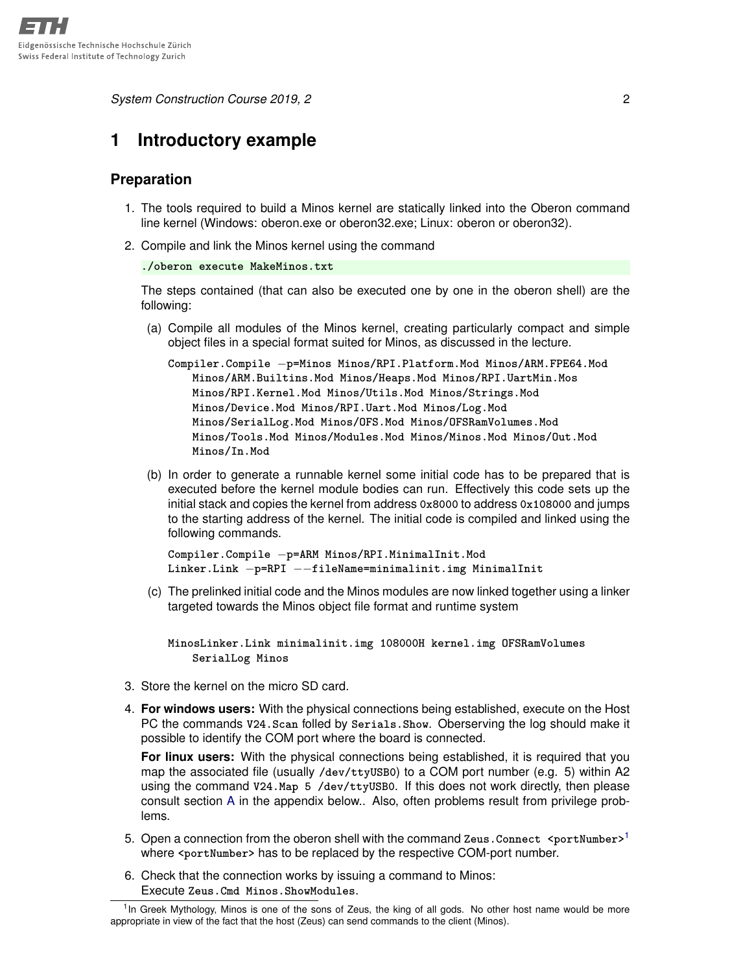*System Construction Course 2019, 2* 2

## **1 Introductory example**

### **Preparation**

- 1. The tools required to build a Minos kernel are statically linked into the Oberon command line kernel (Windows: oberon.exe or oberon32.exe; Linux: oberon or oberon32).
- 2. Compile and link the Minos kernel using the command

```
./oberon execute MakeMinos.txt
```
The steps contained (that can also be executed one by one in the oberon shell) are the following:

(a) Compile all modules of the Minos kernel, creating particularly compact and simple object files in a special format suited for Minos, as discussed in the lecture.

**Compiler.Compile** −**p=Minos Minos/RPI.Platform.Mod Minos/ARM.FPE64.Mod Minos/ARM.Builtins.Mod Minos/Heaps.Mod Minos/RPI.UartMin.Mos Minos/RPI.Kernel.Mod Minos/Utils.Mod Minos/Strings.Mod Minos/Device.Mod Minos/RPI.Uart.Mod Minos/Log.Mod Minos/SerialLog.Mod Minos/OFS.Mod Minos/OFSRamVolumes.Mod Minos/Tools.Mod Minos/Modules.Mod Minos/Minos.Mod Minos/Out.Mod Minos/In.Mod**

(b) In order to generate a runnable kernel some initial code has to be prepared that is executed before the kernel module bodies can run. Effectively this code sets up the initial stack and copies the kernel from address **0x8000** to address **0x108000** and jumps to the starting address of the kernel. The initial code is compiled and linked using the following commands.

```
Compiler.Compile −p=ARM Minos/RPI.MinimalInit.Mod
Linker.Link −p=RPI −−fileName=minimalinit.img MinimalInit
```
(c) The prelinked initial code and the Minos modules are now linked together using a linker targeted towards the Minos object file format and runtime system

**MinosLinker.Link minimalinit.img 108000H kernel.img OFSRamVolumes SerialLog Minos**

- 3. Store the kernel on the micro SD card.
- 4. **For windows users:** With the physical connections being established, execute on the Host PC the commands **V24.Scan** folled by **Serials.Show**. Oberserving the log should make it possible to identify the COM port where the board is connected.

**For linux users:** With the physical connections being established, it is required that you map the associated file (usually **/dev/ttyUSB0**) to a COM port number (e.g. 5) within A2 using the command **V24.Map 5 /dev/ttyUSB0**. If this does not work directly, then please consult section [A](#page-2-0) in the appendix below.. Also, often problems result from privilege problems.

- 5. Open a connection from the oberon shell with the command Zeus.Connect <portNumber><sup>[1](#page-1-0)</sup> where <portNumber> has to be replaced by the respective COM-port number.
- 6. Check that the connection works by issuing a command to Minos: Execute **Zeus.Cmd Minos.ShowModules**.

<span id="page-1-0"></span><sup>&</sup>lt;sup>1</sup> In Greek Mythology, Minos is one of the sons of Zeus, the king of all gods. No other host name would be more appropriate in view of the fact that the host (Zeus) can send commands to the client (Minos).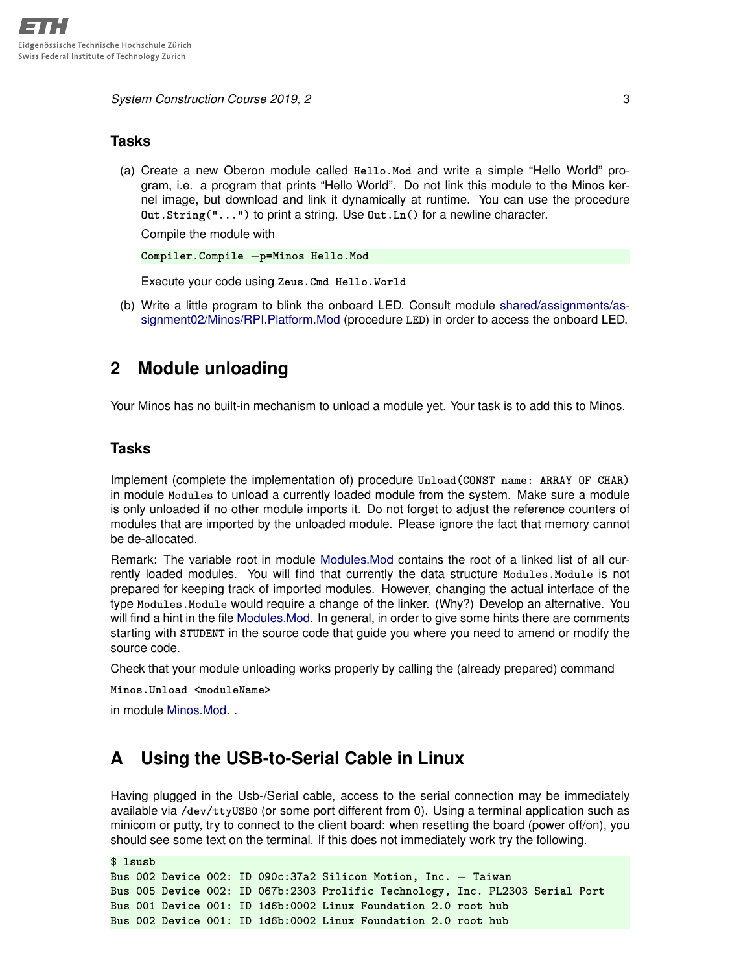**System Construction Course 2019, 2** 3

#### **Tasks**

(a) Create a new Oberon module called **Hello.Mod** and write a simple "Hello World" program, i.e. a program that prints "Hello World". Do not link this module to the Minos kernel image, but download and link it dynamically at runtime. You can use the procedure **Out.String("...")** to print a string. Use **Out.Ln()** for a newline character.

Compile the module with

```
Compiler.Compile −p=Minos Hello.Mod
```
Execute your code using **Zeus.Cmd Hello.World**

(b) Write a little program to blink the onboard LED. Consult module [shared/assignments/as](https://svn.inf.ethz.ch/svn/lecturers/vorlesungen/trunk/syscon/2019/shared/assignments/assignment02/Minos/RPI.Platform.Mod)[signment02/Minos/RPI.Platform.Mod](https://svn.inf.ethz.ch/svn/lecturers/vorlesungen/trunk/syscon/2019/shared/assignments/assignment02/Minos/RPI.Platform.Mod) (procedure **LED**) in order to access the onboard LED.

## **2 Module unloading**

Your Minos has no built-in mechanism to unload a module yet. Your task is to add this to Minos.

### **Tasks**

Implement (complete the implementation of) procedure **Unload(CONST name: ARRAY OF CHAR)** in module **Modules** to unload a currently loaded module from the system. Make sure a module is only unloaded if no other module imports it. Do not forget to adjust the reference counters of modules that are imported by the unloaded module. Please ignore the fact that memory cannot be de-allocated.

Remark: The variable root in module [Modules.Mod](https://svn.inf.ethz.ch/svn/lecturers/vorlesungen/trunk/syscon/2019/shared/assignments/assignment02/Minos/Modules.Mod) contains the root of a linked list of all currently loaded modules. You will find that currently the data structure **Modules.Module** is not prepared for keeping track of imported modules. However, changing the actual interface of the type **Modules.Module** would require a change of the linker. (Why?) Develop an alternative. You will find a hint in the file [Modules.Mod.](https://svn.inf.ethz.ch/svn/lecturers/vorlesungen/trunk/syscon/2019/shared/assignments/assignment02/Minos/Modules.Mod) In general, in order to give some hints there are comments starting with **STUDENT** in the source code that guide you where you need to amend or modify the source code.

Check that your module unloading works properly by calling the (already prepared) command

**Minos.Unload <moduleName>**

in module [Minos.Mod.](https://svn.inf.ethz.ch/svn/lecturers/vorlesungen/trunk/syscon/2019/shared/assignments/assignment02/Minos/Minos.Mod) .

# <span id="page-2-0"></span>**A Using the USB-to-Serial Cable in Linux**

Having plugged in the Usb-/Serial cable, access to the serial connection may be immediately available via **/dev/ttyUSB0** (or some port different from 0). Using a terminal application such as minicom or putty, try to connect to the client board: when resetting the board (power off/on), you should see some text on the terminal. If this does not immediately work try the following.

```
$ lsusb
Bus 002 Device 002: ID 090c:37a2 Silicon Motion, Inc. − Taiwan
Bus 005 Device 002: ID 067b:2303 Prolific Technology, Inc. PL2303 Serial Port
Bus 001 Device 001: ID 1d6b:0002 Linux Foundation 2.0 root hub
Bus 002 Device 001: ID 1d6b:0002 Linux Foundation 2.0 root hub
```